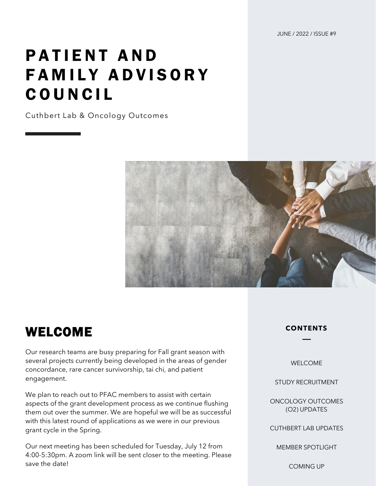JUNE / 2022 / ISSUE #9

# PATIENT AND FAMILY ADVISORY COUNCIL

Cuthbert Lab & Oncology Outcomes



#### WELCOME

Our research teams are busy preparing for Fall grant season with several projects currently being developed in the areas of gender concordance, rare cancer survivorship, tai chi, and patient engagement.

We plan to reach out to PFAC members to assist with certain aspects of the grant development process as we continue flushing them out over the summer. We are hopeful we will be as successful with this latest round of applications as we were in our previous grant cycle in the Spring.

Our next meeting has been scheduled for Tuesday, July 12 from 4:00-5:30pm. A zoom link will be sent closer to the meeting. Please save the date!

#### **CONTENTS**

WELCOME

STUDY RECRUITMENT

ONCOLOGY OUTCOMES (O2) UPDATES

CUTHBERT LAB UPDATES

MEMBER SPOTLIGHT

COMING UP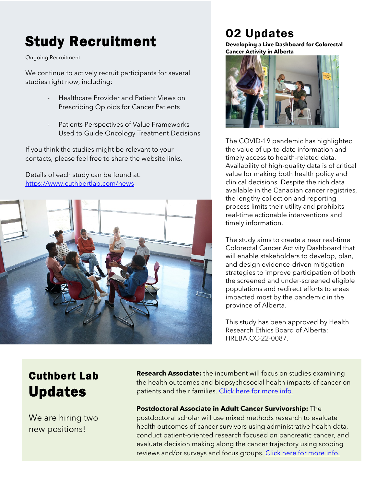## Study Recruitment

Ongoing Recruitment

We continue to actively recruit participants for several studies right now, including:

- Healthcare Provider and Patient Views on Prescribing Opioids for Cancer Patients
- Patients Perspectives of Value Frameworks Used to Guide Oncology Treatment Decisions

If you think the studies might be relevant to your contacts, please feel free to share the website links.

Details of each study can be found at: <https://www.cuthbertlab.com/news>



## O2 Updates

**Developing a Live Dashboard for Colorectal Cancer Activity in Alberta**



The COVID-19 pandemic has highlighted the value of up-to-date information and timely access to health-related data. Availability of high-quality data is of critical value for making both health policy and clinical decisions. Despite the rich data available in the Canadian cancer registries, the lengthy collection and reporting process limits their utility and prohibits real-time actionable interventions and timely information.

The study aims to create a near real-time Colorectal Cancer Activity Dashboard that will enable stakeholders to develop, plan, and design evidence-driven mitigation strategies to improve participation of both the screened and under-screened eligible populations and redirect efforts to areas impacted most by the pandemic in the province of Alberta.

This study has been approved by Health Research Ethics Board of Alberta: HREBA.CC-22-0087.

### Cuthbert Lab Updates

We are hiring two new positions!

**Research Associate:** the incumbent will focus on studies examining the health outcomes and biopsychosocial health impacts of cancer on patients and their families. [Click here for more info.](https://careers.ucalgary.ca/jobs/9764307-research-associate-faculty-of-nursing)

**Postdoctoral Associate in Adult Cancer Survivorship:** The postdoctoral scholar will use mixed methods research to evaluate health outcomes of cancer survivors using administrative health data, conduct patient-oriented research focused on pancreatic cancer, and evaluate decision making along the cancer trajectory using scoping reviews and/or surveys and focus groups. [Click here for more info.](https://careers.ucalgary.ca/jobs/9532566-post-doctoral-associate-in-adult-cancer-survivorship-cumming-school-of-medicine-and-faculty-of-nursing)